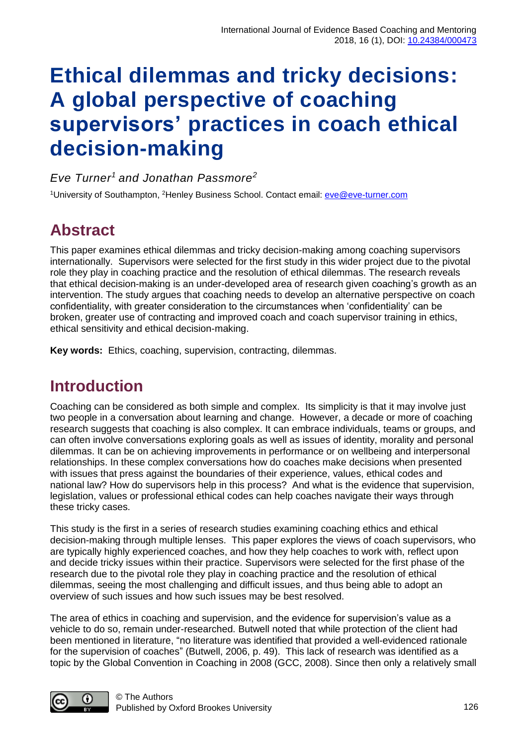# **Ethical dilemmas and tricky decisions: A global perspective of coaching supervisors' practices in coach ethical decision-making**

*Eve Turner<sup>1</sup>and Jonathan Passmore<sup>2</sup>*

<sup>1</sup>University of Southampton, <sup>2</sup>Henley Business School. Contact email: <u>eve@eve-turner.com</u>

# **Abstract**

This paper examines ethical dilemmas and tricky decision-making among coaching supervisors internationally. Supervisors were selected for the first study in this wider project due to the pivotal role they play in coaching practice and the resolution of ethical dilemmas. The research reveals that ethical decision-making is an under-developed area of research given coaching's growth as an intervention. The study argues that coaching needs to develop an alternative perspective on coach confidentiality, with greater consideration to the circumstances when 'confidentiality' can be broken, greater use of contracting and improved coach and coach supervisor training in ethics, ethical sensitivity and ethical decision-making.

**Key words:** Ethics, coaching, supervision, contracting, dilemmas.

### **Introduction**

Coaching can be considered as both simple and complex. Its simplicity is that it may involve just two people in a conversation about learning and change. However, a decade or more of coaching research suggests that coaching is also complex. It can embrace individuals, teams or groups, and can often involve conversations exploring goals as well as issues of identity, morality and personal dilemmas. It can be on achieving improvements in performance or on wellbeing and interpersonal relationships. In these complex conversations how do coaches make decisions when presented with issues that press against the boundaries of their experience, values, ethical codes and national law? How do supervisors help in this process? And what is the evidence that supervision, legislation, values or professional ethical codes can help coaches navigate their ways through these tricky cases.

This study is the first in a series of research studies examining coaching ethics and ethical decision-making through multiple lenses. This paper explores the views of coach supervisors, who are typically highly experienced coaches, and how they help coaches to work with, reflect upon and decide tricky issues within their practice. Supervisors were selected for the first phase of the research due to the pivotal role they play in coaching practice and the resolution of ethical dilemmas, seeing the most challenging and difficult issues, and thus being able to adopt an overview of such issues and how such issues may be best resolved.

The area of ethics in coaching and supervision, and the evidence for supervision's value as a vehicle to do so, remain under-researched. Butwell noted that while protection of the client had been mentioned in literature, "no literature was identified that provided a well-evidenced rationale for the supervision of coaches" (Butwell, 2006, p. 49). This lack of research was identified as a topic by the Global Convention in Coaching in 2008 (GCC, 2008). Since then only a relatively small

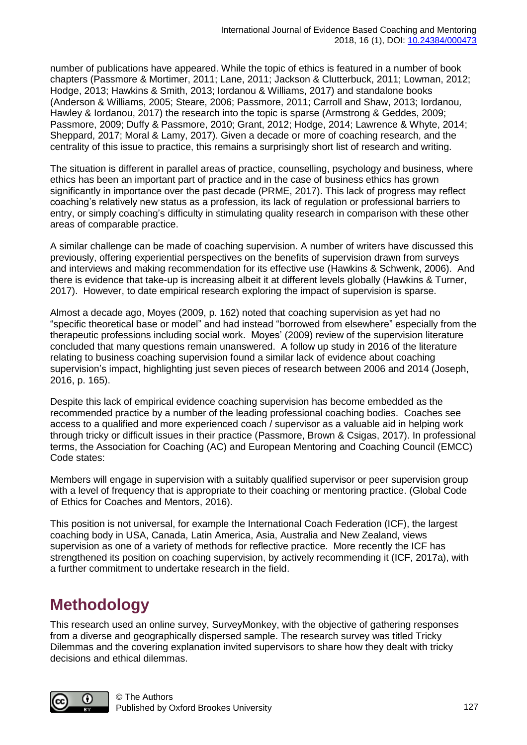number of publications have appeared. While the topic of ethics is featured in a number of book chapters (Passmore & Mortimer, 2011; Lane, 2011; Jackson & Clutterbuck, 2011; Lowman, 2012; Hodge, 2013; Hawkins & Smith, 2013; Iordanou & Williams, 2017) and standalone books (Anderson & Williams, 2005; Steare, 2006; Passmore, 2011; Carroll and Shaw, 2013; Iordanou*,* Hawley & Iordanou, 2017) the research into the topic is sparse (Armstrong & Geddes, 2009; Passmore, 2009; Duffy & Passmore, 2010; Grant, 2012; Hodge, 2014; Lawrence & Whyte, 2014; Sheppard, 2017; Moral & Lamy, 2017). Given a decade or more of coaching research, and the centrality of this issue to practice, this remains a surprisingly short list of research and writing.

The situation is different in parallel areas of practice, counselling, psychology and business, where ethics has been an important part of practice and in the case of business ethics has grown significantly in importance over the past decade (PRME, 2017). This lack of progress may reflect coaching's relatively new status as a profession, its lack of regulation or professional barriers to entry, or simply coaching's difficulty in stimulating quality research in comparison with these other areas of comparable practice.

A similar challenge can be made of coaching supervision. A number of writers have discussed this previously, offering experiential perspectives on the benefits of supervision drawn from surveys and interviews and making recommendation for its effective use (Hawkins & Schwenk, 2006). And there is evidence that take-up is increasing albeit it at different levels globally (Hawkins & Turner, 2017). However, to date empirical research exploring the impact of supervision is sparse.

Almost a decade ago, Moyes (2009, p. 162) noted that coaching supervision as yet had no "specific theoretical base or model" and had instead "borrowed from elsewhere" especially from the therapeutic professions including social work. Moyes' (2009) review of the supervision literature concluded that many questions remain unanswered. A follow up study in 2016 of the literature relating to business coaching supervision found a similar lack of evidence about coaching supervision's impact, highlighting just seven pieces of research between 2006 and 2014 (Joseph, 2016, p. 165).

Despite this lack of empirical evidence coaching supervision has become embedded as the recommended practice by a number of the leading professional coaching bodies. Coaches see access to a qualified and more experienced coach / supervisor as a valuable aid in helping work through tricky or difficult issues in their practice (Passmore, Brown & Csigas, 2017). In professional terms, the Association for Coaching (AC) and European Mentoring and Coaching Council (EMCC) Code states:

Members will engage in supervision with a suitably qualified supervisor or peer supervision group with a level of frequency that is appropriate to their coaching or mentoring practice. (Global Code of Ethics for Coaches and Mentors, 2016).

This position is not universal, for example the International Coach Federation (ICF), the largest coaching body in USA, Canada, Latin America, Asia, Australia and New Zealand, views supervision as one of a variety of methods for reflective practice. More recently the ICF has strengthened its position on coaching supervision, by actively recommending it (ICF, 2017a), with a further commitment to undertake research in the field.

# **Methodology**

This research used an online survey, SurveyMonkey, with the objective of gathering responses from a diverse and geographically dispersed sample. The research survey was titled Tricky Dilemmas and the covering explanation invited supervisors to share how they dealt with tricky decisions and ethical dilemmas.

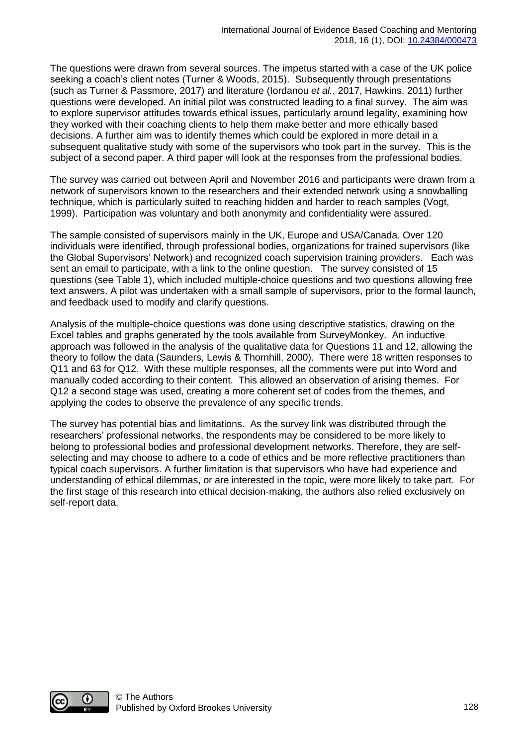The questions were drawn from several sources. The impetus started with a case of the UK police seeking a coach's client notes (Turner & Woods, 2015). Subsequently through presentations (such as Turner & Passmore, 2017) and literature (Iordanou *et al.*, 2017, Hawkins, 2011) further questions were developed. An initial pilot was constructed leading to a final survey. The aim was to explore supervisor attitudes towards ethical issues, particularly around legality, examining how they worked with their coaching clients to help them make better and more ethically based decisions. A further aim was to identify themes which could be explored in more detail in a subsequent qualitative study with some of the supervisors who took part in the survey. This is the subject of a second paper. A third paper will look at the responses from the professional bodies.

The survey was carried out between April and November 2016 and participants were drawn from a network of supervisors known to the researchers and their extended network using a snowballing technique, which is particularly suited to reaching hidden and harder to reach samples (Vogt, 1999). Participation was voluntary and both anonymity and confidentiality were assured.

The sample consisted of supervisors mainly in the UK, Europe and USA/Canada. Over 120 individuals were identified, through professional bodies, organizations for trained supervisors (like the Global Supervisors' Network) and recognized coach supervision training providers. Each was sent an email to participate, with a link to the online question. The survey consisted of 15 questions (see Table 1), which included multiple-choice questions and two questions allowing free text answers. A pilot was undertaken with a small sample of supervisors, prior to the formal launch, and feedback used to modify and clarify questions.

Analysis of the multiple-choice questions was done using descriptive statistics, drawing on the Excel tables and graphs generated by the tools available from SurveyMonkey. An inductive approach was followed in the analysis of the qualitative data for Questions 11 and 12, allowing the theory to follow the data (Saunders, Lewis & Thornhill, 2000). There were 18 written responses to Q11 and 63 for Q12. With these multiple responses, all the comments were put into Word and manually coded according to their content. This allowed an observation of arising themes. For Q12 a second stage was used, creating a more coherent set of codes from the themes, and applying the codes to observe the prevalence of any specific trends.

The survey has potential bias and limitations. As the survey link was distributed through the researchers' professional networks, the respondents may be considered to be more likely to belong to professional bodies and professional development networks. Therefore, they are selfselecting and may choose to adhere to a code of ethics and be more reflective practitioners than typical coach supervisors. A further limitation is that supervisors who have had experience and understanding of ethical dilemmas, or are interested in the topic, were more likely to take part. For the first stage of this research into ethical decision-making, the authors also relied exclusively on self-report data.

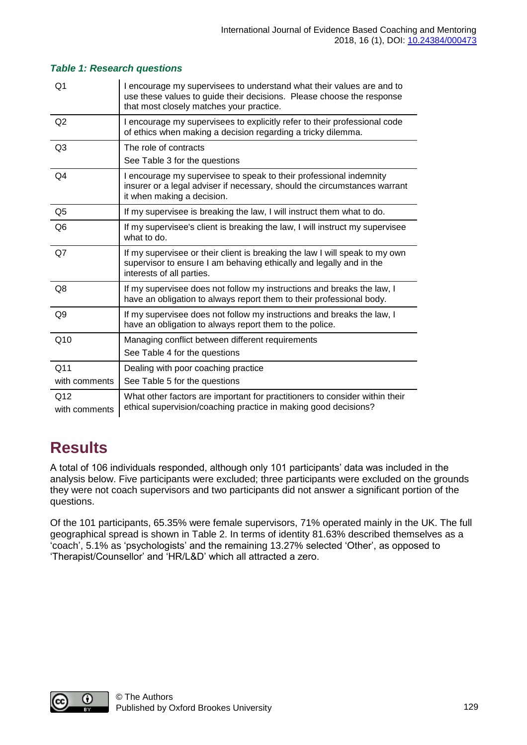| Q1                   | I encourage my supervisees to understand what their values are and to<br>use these values to guide their decisions. Please choose the response<br>that most closely matches your practice. |
|----------------------|--------------------------------------------------------------------------------------------------------------------------------------------------------------------------------------------|
| Q2                   | I encourage my supervisees to explicitly refer to their professional code<br>of ethics when making a decision regarding a tricky dilemma.                                                  |
| Q <sub>3</sub>       | The role of contracts<br>See Table 3 for the questions                                                                                                                                     |
| Q4                   | I encourage my supervisee to speak to their professional indemnity<br>insurer or a legal adviser if necessary, should the circumstances warrant<br>it when making a decision.              |
| Q <sub>5</sub>       | If my supervisee is breaking the law, I will instruct them what to do.                                                                                                                     |
| Q <sub>6</sub>       | If my supervisee's client is breaking the law, I will instruct my supervisee<br>what to do.                                                                                                |
| Q7                   | If my supervisee or their client is breaking the law I will speak to my own<br>supervisor to ensure I am behaving ethically and legally and in the<br>interests of all parties.            |
| Q8                   | If my supervisee does not follow my instructions and breaks the law, I<br>have an obligation to always report them to their professional body.                                             |
| Q9                   | If my supervisee does not follow my instructions and breaks the law, I<br>have an obligation to always report them to the police.                                                          |
| Q10                  | Managing conflict between different requirements<br>See Table 4 for the questions                                                                                                          |
| Q11                  | Dealing with poor coaching practice                                                                                                                                                        |
| with comments        | See Table 5 for the questions                                                                                                                                                              |
| Q12<br>with comments | What other factors are important for practitioners to consider within their<br>ethical supervision/coaching practice in making good decisions?                                             |

#### *Table 1: Research questions*

### **Results**

A total of 106 individuals responded, although only 101 participants' data was included in the analysis below. Five participants were excluded; three participants were excluded on the grounds they were not coach supervisors and two participants did not answer a significant portion of the questions.

Of the 101 participants, 65.35% were female supervisors, 71% operated mainly in the UK. The full geographical spread is shown in Table 2. In terms of identity 81.63% described themselves as a 'coach', 5.1% as 'psychologists' and the remaining 13.27% selected 'Other', as opposed to 'Therapist/Counsellor' and 'HR/L&D' which all attracted a zero.

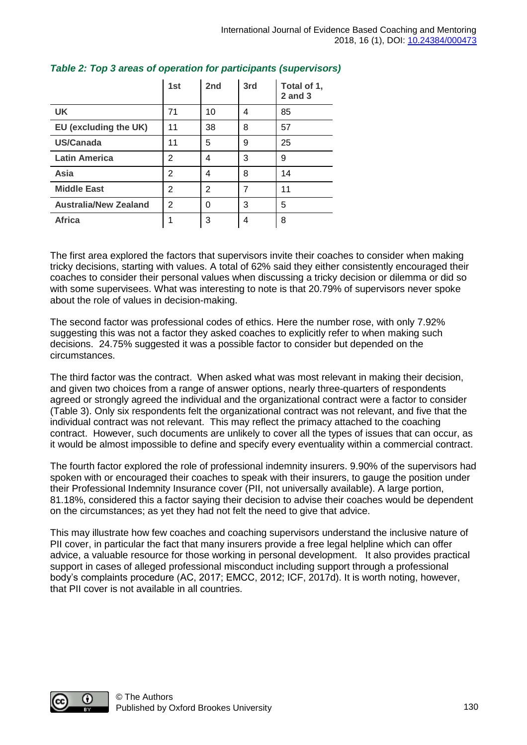|                              | 1st | 2 <sub>nd</sub> | 3rd | Total of 1,<br>$2$ and $3$ |
|------------------------------|-----|-----------------|-----|----------------------------|
| <b>UK</b>                    | 71  | 10              | 4   | 85                         |
| EU (excluding the UK)        | 11  | 38              | 8   | 57                         |
| US/Canada                    | 11  | 5               | 9   | 25                         |
| <b>Latin America</b>         | 2   | 4               | 3   | 9                          |
| Asia                         | 2   | 4               | 8   | 14                         |
| <b>Middle East</b>           | 2   | $\overline{2}$  | 7   | 11                         |
| <b>Australia/New Zealand</b> | 2   | 0               | 3   | 5                          |
| <b>Africa</b>                | 1   | 3               | 4   | 8                          |

#### *Table 2: Top 3 areas of operation for participants (supervisors)*

The first area explored the factors that supervisors invite their coaches to consider when making tricky decisions, starting with values. A total of 62% said they either consistently encouraged their coaches to consider their personal values when discussing a tricky decision or dilemma or did so with some supervisees. What was interesting to note is that 20.79% of supervisors never spoke about the role of values in decision-making.

The second factor was professional codes of ethics. Here the number rose, with only 7.92% suggesting this was not a factor they asked coaches to explicitly refer to when making such decisions. 24.75% suggested it was a possible factor to consider but depended on the circumstances.

The third factor was the contract. When asked what was most relevant in making their decision, and given two choices from a range of answer options, nearly three-quarters of respondents agreed or strongly agreed the individual and the organizational contract were a factor to consider (Table 3). Only six respondents felt the organizational contract was not relevant, and five that the individual contract was not relevant. This may reflect the primacy attached to the coaching contract. However, such documents are unlikely to cover all the types of issues that can occur, as it would be almost impossible to define and specify every eventuality within a commercial contract.

The fourth factor explored the role of professional indemnity insurers. 9.90% of the supervisors had spoken with or encouraged their coaches to speak with their insurers, to gauge the position under their Professional Indemnity Insurance cover (PII, not universally available). A large portion, 81.18%, considered this a factor saying their decision to advise their coaches would be dependent on the circumstances; as yet they had not felt the need to give that advice.

This may illustrate how few coaches and coaching supervisors understand the inclusive nature of PII cover, in particular the fact that many insurers provide a free legal helpline which can offer advice, a valuable resource for those working in personal development. It also provides practical support in cases of alleged professional misconduct including support through a professional body's complaints procedure (AC, 2017; EMCC, 2012; ICF, 2017d). It is worth noting, however, that PII cover is not available in all countries.

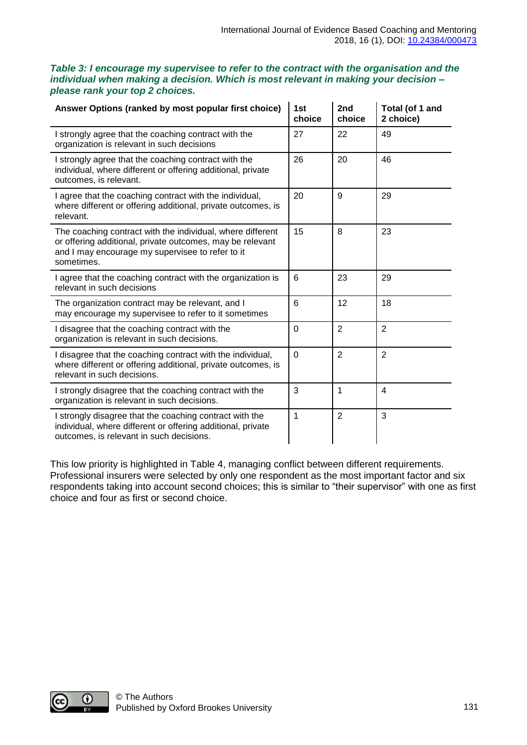| Table 3: I encourage my supervisee to refer to the contract with the organisation and the |
|-------------------------------------------------------------------------------------------|
| individual when making a decision. Which is most relevant in making your decision -       |
| please rank your top 2 choices.                                                           |

| Answer Options (ranked by most popular first choice)                                                                                                                                      | 1st<br>choice  | 2nd<br>choice  | Total (of 1 and<br>2 choice) |
|-------------------------------------------------------------------------------------------------------------------------------------------------------------------------------------------|----------------|----------------|------------------------------|
| I strongly agree that the coaching contract with the<br>organization is relevant in such decisions                                                                                        | 27             | 22             | 49                           |
| I strongly agree that the coaching contract with the<br>individual, where different or offering additional, private<br>outcomes, is relevant.                                             | 26             | 20             | 46                           |
| I agree that the coaching contract with the individual,<br>where different or offering additional, private outcomes, is<br>relevant.                                                      | 20             | 9              | 29                           |
| The coaching contract with the individual, where different<br>or offering additional, private outcomes, may be relevant<br>and I may encourage my supervisee to refer to it<br>sometimes. | 15             | 8              | 23                           |
| I agree that the coaching contract with the organization is<br>relevant in such decisions                                                                                                 | 6              | 23             | 29                           |
| The organization contract may be relevant, and I<br>may encourage my supervisee to refer to it sometimes                                                                                  | 6              | 12             | 18                           |
| I disagree that the coaching contract with the<br>organization is relevant in such decisions.                                                                                             | $\mathbf 0$    | $\overline{2}$ | $\overline{2}$               |
| I disagree that the coaching contract with the individual,<br>where different or offering additional, private outcomes, is<br>relevant in such decisions.                                 | $\overline{0}$ | $\overline{2}$ | $\overline{2}$               |
| I strongly disagree that the coaching contract with the<br>organization is relevant in such decisions.                                                                                    | 3              | $\mathbf{1}$   | $\overline{4}$               |
| I strongly disagree that the coaching contract with the<br>individual, where different or offering additional, private<br>outcomes, is relevant in such decisions.                        | 1              | $\overline{2}$ | 3                            |

This low priority is highlighted in Table 4, managing conflict between different requirements. Professional insurers were selected by only one respondent as the most important factor and six respondents taking into account second choices; this is similar to "their supervisor" with one as first choice and four as first or second choice.

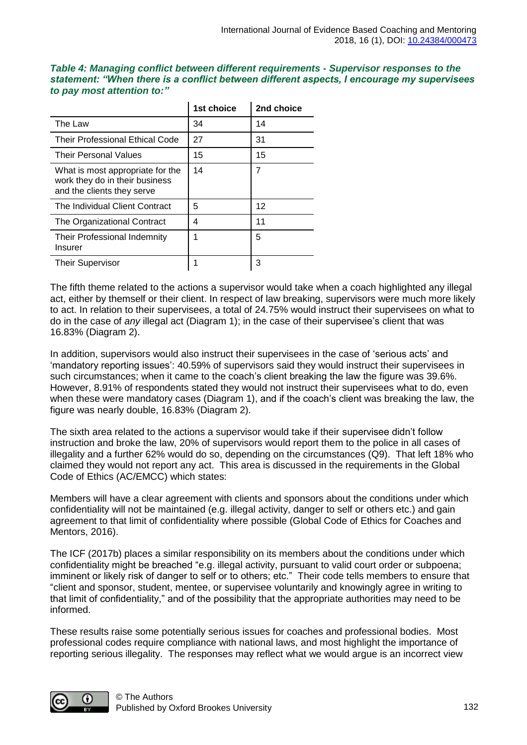| Table 4: Managing conflict between different requirements - Supervisor responses to the    |
|--------------------------------------------------------------------------------------------|
| statement: "When there is a conflict between different aspects, I encourage my supervisees |
| to pay most attention to:"                                                                 |

|                                                                                                  | 1st choice | 2nd choice |
|--------------------------------------------------------------------------------------------------|------------|------------|
| The Law                                                                                          | 34         | 14         |
| <b>Their Professional Ethical Code</b>                                                           | 27         | 31         |
| <b>Their Personal Values</b>                                                                     | 15         | 15         |
| What is most appropriate for the<br>work they do in their business<br>and the clients they serve | 14         | 7          |
| The Individual Client Contract                                                                   | 5          | 12         |
| The Organizational Contract                                                                      | 4          | 11         |
| Their Professional Indemnity<br>Insurer                                                          | 1          | 5          |
| <b>Their Supervisor</b>                                                                          |            | 3          |

The fifth theme related to the actions a supervisor would take when a coach highlighted any illegal act, either by themself or their client. In respect of law breaking, supervisors were much more likely to act. In relation to their supervisees, a total of 24.75% would instruct their supervisees on what to do in the case of *any* illegal act (Diagram 1); in the case of their supervisee's client that was 16.83% (Diagram 2).

In addition, supervisors would also instruct their supervisees in the case of 'serious acts' and 'mandatory reporting issues': 40.59% of supervisors said they would instruct their supervisees in such circumstances; when it came to the coach's client breaking the law the figure was 39.6%. However, 8.91% of respondents stated they would not instruct their supervisees what to do, even when these were mandatory cases (Diagram 1), and if the coach's client was breaking the law, the figure was nearly double, 16.83% (Diagram 2).

The sixth area related to the actions a supervisor would take if their supervisee didn't follow instruction and broke the law, 20% of supervisors would report them to the police in all cases of illegality and a further 62% would do so, depending on the circumstances (Q9). That left 18% who claimed they would not report any act. This area is discussed in the requirements in the Global Code of Ethics (AC/EMCC) which states:

Members will have a clear agreement with clients and sponsors about the conditions under which confidentiality will not be maintained (e.g. illegal activity, danger to self or others etc.) and gain agreement to that limit of confidentiality where possible (Global Code of Ethics for Coaches and Mentors, 2016).

The ICF (2017b) places a similar responsibility on its members about the conditions under which confidentiality might be breached "e.g. illegal activity, pursuant to valid court order or subpoena; imminent or likely risk of danger to self or to others; etc." Their code tells members to ensure that "client and sponsor, student, mentee, or supervisee voluntarily and knowingly agree in writing to that limit of confidentiality," and of the possibility that the appropriate authorities may need to be informed.

These results raise some potentially serious issues for coaches and professional bodies. Most professional codes require compliance with national laws, and most highlight the importance of reporting serious illegality. The responses may reflect what we would argue is an incorrect view

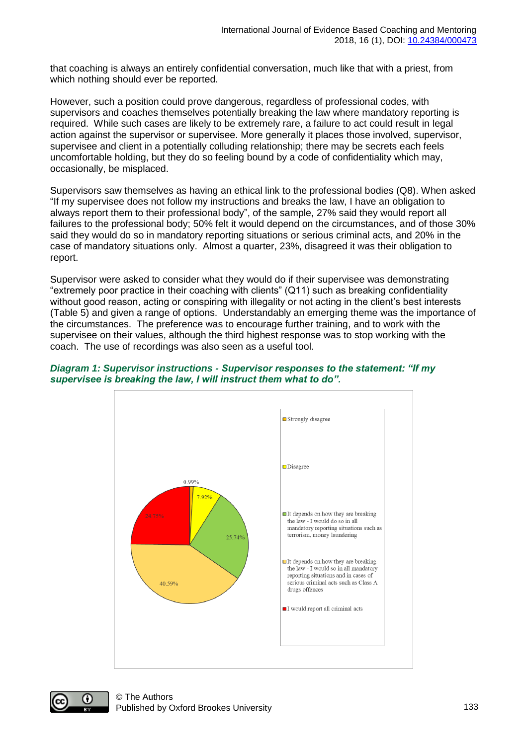that coaching is always an entirely confidential conversation, much like that with a priest, from which nothing should ever be reported.

However, such a position could prove dangerous, regardless of professional codes, with supervisors and coaches themselves potentially breaking the law where mandatory reporting is required. While such cases are likely to be extremely rare, a failure to act could result in legal action against the supervisor or supervisee. More generally it places those involved, supervisor, supervisee and client in a potentially colluding relationship; there may be secrets each feels uncomfortable holding, but they do so feeling bound by a code of confidentiality which may, occasionally, be misplaced.

Supervisors saw themselves as having an ethical link to the professional bodies (Q8). When asked "If my supervisee does not follow my instructions and breaks the law, I have an obligation to always report them to their professional body", of the sample, 27% said they would report all failures to the professional body; 50% felt it would depend on the circumstances, and of those 30% said they would do so in mandatory reporting situations or serious criminal acts, and 20% in the case of mandatory situations only. Almost a quarter, 23%, disagreed it was their obligation to report.

Supervisor were asked to consider what they would do if their supervisee was demonstrating "extremely poor practice in their coaching with clients" (Q11) such as breaking confidentiality without good reason, acting or conspiring with illegality or not acting in the client's best interests (Table 5) and given a range of options. Understandably an emerging theme was the importance of the circumstances. The preference was to encourage further training, and to work with the supervisee on their values, although the third highest response was to stop working with the coach. The use of recordings was also seen as a useful tool.



#### *Diagram 1: Supervisor instructions - Supervisor responses to the statement: "If my supervisee is breaking the law, I will instruct them what to do".*

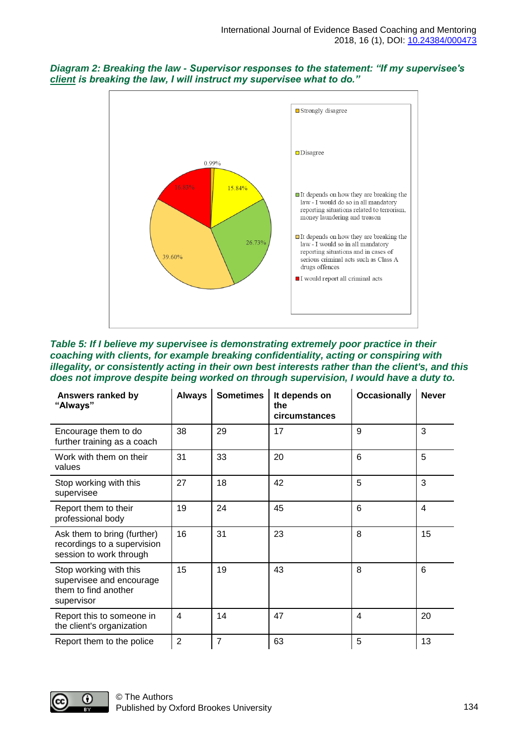



*Table 5: If I believe my supervisee is demonstrating extremely poor practice in their coaching with clients, for example breaking confidentiality, acting or conspiring with illegality, or consistently acting in their own best interests rather than the client's, and this does not improve despite being worked on through supervision, I would have a duty to.*

| Answers ranked by<br>"Always"                                                            | <b>Always</b>  | <b>Sometimes</b> | It depends on<br>the<br>circumstances | <b>Occasionally</b> | <b>Never</b>   |
|------------------------------------------------------------------------------------------|----------------|------------------|---------------------------------------|---------------------|----------------|
| Encourage them to do<br>further training as a coach                                      | 38             | 29               | 17                                    | 9                   | 3              |
| Work with them on their<br>values                                                        | 31             | 33               | 20                                    | 6                   | 5              |
| Stop working with this<br>supervisee                                                     | 27             | 18               | 42                                    | 5                   | 3              |
| Report them to their<br>professional body                                                | 19             | 24               | 45                                    | 6                   | $\overline{4}$ |
| Ask them to bring (further)<br>recordings to a supervision<br>session to work through    | 16             | 31               | 23                                    | 8                   | 15             |
| Stop working with this<br>supervisee and encourage<br>them to find another<br>supervisor | 15             | 19               | 43                                    | 8                   | 6              |
| Report this to someone in<br>the client's organization                                   | $\overline{4}$ | 14               | 47                                    | 4                   | 20             |
| Report them to the police                                                                | $\overline{2}$ | $\overline{7}$   | 63                                    | 5                   | 13             |

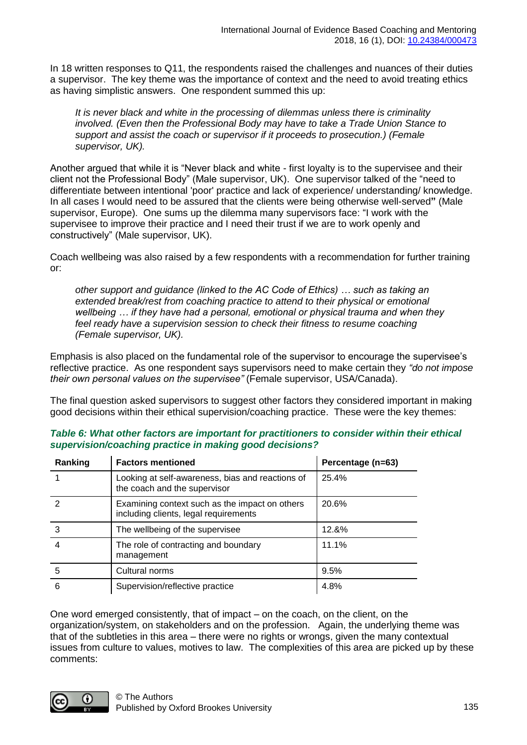In 18 written responses to Q11, the respondents raised the challenges and nuances of their duties a supervisor. The key theme was the importance of context and the need to avoid treating ethics as having simplistic answers. One respondent summed this up:

*It is never black and white in the processing of dilemmas unless there is criminality involved. (Even then the Professional Body may have to take a Trade Union Stance to support and assist the coach or supervisor if it proceeds to prosecution.) (Female supervisor, UK).*

Another argued that while it is "Never black and white - first loyalty is to the supervisee and their client not the Professional Body" (Male supervisor, UK). One supervisor talked of the "need to differentiate between intentional 'poor' practice and lack of experience/ understanding/ knowledge. In all cases I would need to be assured that the clients were being otherwise well-served**"** (Male supervisor, Europe). One sums up the dilemma many supervisors face: "I work with the supervisee to improve their practice and I need their trust if we are to work openly and constructively" (Male supervisor, UK).

Coach wellbeing was also raised by a few respondents with a recommendation for further training or:

*other support and guidance (linked to the AC Code of Ethics) … such as taking an extended break/rest from coaching practice to attend to their physical or emotional wellbeing … if they have had a personal, emotional or physical trauma and when they feel ready have a supervision session to check their fitness to resume coaching (Female supervisor, UK).* 

Emphasis is also placed on the fundamental role of the supervisor to encourage the supervisee's reflective practice. As one respondent says supervisors need to make certain they *"do not impose their own personal values on the supervisee"* (Female supervisor, USA/Canada).

The final question asked supervisors to suggest other factors they considered important in making good decisions within their ethical supervision/coaching practice. These were the key themes:

| Ranking | <b>Factors mentioned</b>                                                                | Percentage (n=63) |
|---------|-----------------------------------------------------------------------------------------|-------------------|
|         | Looking at self-awareness, bias and reactions of<br>the coach and the supervisor        | 25.4%             |
|         | Examining context such as the impact on others<br>including clients, legal requirements | 20.6%             |
| 3       | The wellbeing of the supervisee                                                         | 12.&%             |
|         | The role of contracting and boundary<br>management                                      | 11.1%             |
| 5       | Cultural norms                                                                          | 9.5%              |
| 6       | Supervision/reflective practice                                                         | 4.8%              |

#### *Table 6: What other factors are important for practitioners to consider within their ethical supervision/coaching practice in making good decisions?*

One word emerged consistently, that of impact – on the coach, on the client, on the organization/system, on stakeholders and on the profession. Again, the underlying theme was that of the subtleties in this area – there were no rights or wrongs, given the many contextual issues from culture to values, motives to law. The complexities of this area are picked up by these comments:

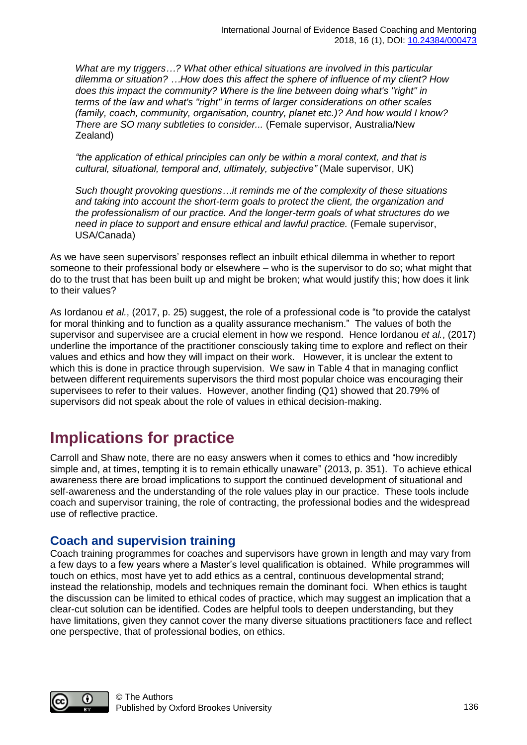*What are my triggers…? What other ethical situations are involved in this particular dilemma or situation? …How does this affect the sphere of influence of my client? How does this impact the community? Where is the line between doing what's "right" in terms of the law and what's "right" in terms of larger considerations on other scales (family, coach, community, organisation, country, planet etc.)? And how would I know? There are SO many subtleties to consider...* (Female supervisor, Australia/New Zealand)

*"the application of ethical principles can only be within a moral context, and that is cultural, situational, temporal and, ultimately, subjective"* (Male supervisor, UK)

*Such thought provoking questions…it reminds me of the complexity of these situations and taking into account the short-term goals to protect the client, the organization and the professionalism of our practice. And the longer-term goals of what structures do we need in place to support and ensure ethical and lawful practice.* (Female supervisor, USA/Canada)

As we have seen supervisors' responses reflect an inbuilt ethical dilemma in whether to report someone to their professional body or elsewhere – who is the supervisor to do so; what might that do to the trust that has been built up and might be broken; what would justify this; how does it link to their values?

As Iordanou *et al.*, (2017, p. 25) suggest, the role of a professional code is "to provide the catalyst for moral thinking and to function as a quality assurance mechanism." The values of both the supervisor and supervisee are a crucial element in how we respond. Hence Iordanou *et al.*, (2017) underline the importance of the practitioner consciously taking time to explore and reflect on their values and ethics and how they will impact on their work. However, it is unclear the extent to which this is done in practice through supervision. We saw in Table 4 that in managing conflict between different requirements supervisors the third most popular choice was encouraging their supervisees to refer to their values. However, another finding (Q1) showed that 20.79% of supervisors did not speak about the role of values in ethical decision-making.

# **Implications for practice**

Carroll and Shaw note, there are no easy answers when it comes to ethics and "how incredibly simple and, at times, tempting it is to remain ethically unaware" (2013, p. 351). To achieve ethical awareness there are broad implications to support the continued development of situational and self-awareness and the understanding of the role values play in our practice. These tools include coach and supervisor training, the role of contracting, the professional bodies and the widespread use of reflective practice.

#### **Coach and supervision training**

Coach training programmes for coaches and supervisors have grown in length and may vary from a few days to a few years where a Master's level qualification is obtained. While programmes will touch on ethics, most have yet to add ethics as a central, continuous developmental strand; instead the relationship, models and techniques remain the dominant foci. When ethics is taught the discussion can be limited to ethical codes of practice, which may suggest an implication that a clear-cut solution can be identified. Codes are helpful tools to deepen understanding, but they have limitations, given they cannot cover the many diverse situations practitioners face and reflect one perspective, that of professional bodies, on ethics.

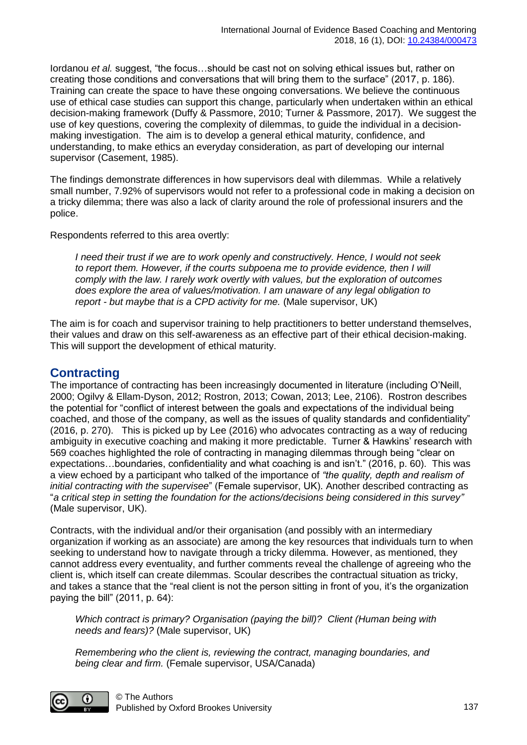Iordanou *et al.* suggest, "the focus…should be cast not on solving ethical issues but, rather on creating those conditions and conversations that will bring them to the surface" (2017, p. 186). Training can create the space to have these ongoing conversations. We believe the continuous use of ethical case studies can support this change, particularly when undertaken within an ethical decision-making framework (Duffy & Passmore, 2010; Turner & Passmore, 2017). We suggest the use of key questions, covering the complexity of dilemmas, to guide the individual in a decisionmaking investigation. The aim is to develop a general ethical maturity, confidence, and understanding, to make ethics an everyday consideration, as part of developing our internal supervisor (Casement, 1985).

The findings demonstrate differences in how supervisors deal with dilemmas. While a relatively small number, 7.92% of supervisors would not refer to a professional code in making a decision on a tricky dilemma; there was also a lack of clarity around the role of professional insurers and the police.

Respondents referred to this area overtly:

*I need their trust if we are to work openly and constructively. Hence, I would not seek to report them. However, if the courts subpoena me to provide evidence, then I will comply with the law. I rarely work overtly with values, but the exploration of outcomes does explore the area of values/motivation. I am unaware of any legal obligation to report - but maybe that is a CPD activity for me.* (Male supervisor, UK)

The aim is for coach and supervisor training to help practitioners to better understand themselves, their values and draw on this self-awareness as an effective part of their ethical decision-making. This will support the development of ethical maturity.

#### **Contracting**

The importance of contracting has been increasingly documented in literature (including O'Neill, 2000; Ogilvy & Ellam-Dyson, 2012; Rostron, 2013; Cowan, 2013; Lee, 2106). Rostron describes the potential for "conflict of interest between the goals and expectations of the individual being coached, and those of the company, as well as the issues of quality standards and confidentiality" (2016, p. 270). This is picked up by Lee (2016) who advocates contracting as a way of reducing ambiguity in executive coaching and making it more predictable. Turner & Hawkins' research with 569 coaches highlighted the role of contracting in managing dilemmas through being "clear on expectations…boundaries, confidentiality and what coaching is and isn't." (2016, p. 60). This was a view echoed by a participant who talked of the importance of *"the quality, depth and realism of initial contracting with the supervisee*" (Female supervisor, UK). Another described contracting as "*a critical step in setting the foundation for the actions/decisions being considered in this survey"* (Male supervisor, UK).

Contracts, with the individual and/or their organisation (and possibly with an intermediary organization if working as an associate) are among the key resources that individuals turn to when seeking to understand how to navigate through a tricky dilemma. However, as mentioned, they cannot address every eventuality, and further comments reveal the challenge of agreeing who the client is, which itself can create dilemmas. Scoular describes the contractual situation as tricky, and takes a stance that the "real client is not the person sitting in front of you, it's the organization paying the bill" (2011, p. 64):

*Which contract is primary? Organisation (paying the bill)? Client (Human being with needs and fears)?* (Male supervisor, UK)

*Remembering who the client is, reviewing the contract, managing boundaries, and being clear and firm.* (Female supervisor, USA/Canada)

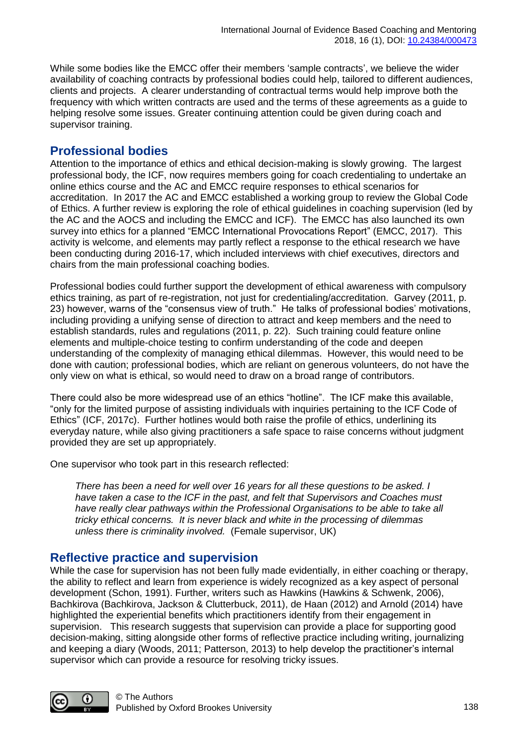While some bodies like the EMCC offer their members 'sample contracts', we believe the wider availability of coaching contracts by professional bodies could help, tailored to different audiences, clients and projects. A clearer understanding of contractual terms would help improve both the frequency with which written contracts are used and the terms of these agreements as a guide to helping resolve some issues. Greater continuing attention could be given during coach and supervisor training.

#### **Professional bodies**

Attention to the importance of ethics and ethical decision-making is slowly growing. The largest professional body, the ICF, now requires members going for coach credentialing to undertake an online ethics course and the AC and EMCC require responses to ethical scenarios for accreditation. In 2017 the AC and EMCC established a working group to review the Global Code of Ethics. A further review is exploring the role of ethical guidelines in coaching supervision (led by the AC and the AOCS and including the EMCC and ICF). The EMCC has also launched its own survey into ethics for a planned "EMCC International Provocations Report" (EMCC, 2017). This activity is welcome, and elements may partly reflect a response to the ethical research we have been conducting during 2016-17, which included interviews with chief executives, directors and chairs from the main professional coaching bodies.

Professional bodies could further support the development of ethical awareness with compulsory ethics training, as part of re-registration, not just for credentialing/accreditation. Garvey (2011, p. 23) however, warns of the "consensus view of truth." He talks of professional bodies' motivations, including providing a unifying sense of direction to attract and keep members and the need to establish standards, rules and regulations (2011, p. 22). Such training could feature online elements and multiple-choice testing to confirm understanding of the code and deepen understanding of the complexity of managing ethical dilemmas. However, this would need to be done with caution; professional bodies, which are reliant on generous volunteers, do not have the only view on what is ethical, so would need to draw on a broad range of contributors.

There could also be more widespread use of an ethics "hotline". The ICF make this available, "only for the limited purpose of assisting individuals with inquiries pertaining to the ICF Code of Ethics" (ICF, 2017c). Further hotlines would both raise the profile of ethics, underlining its everyday nature, while also giving practitioners a safe space to raise concerns without judgment provided they are set up appropriately.

One supervisor who took part in this research reflected:

*There has been a need for well over 16 years for all these questions to be asked. I have taken a case to the ICF in the past, and felt that Supervisors and Coaches must have really clear pathways within the Professional Organisations to be able to take all tricky ethical concerns. It is never black and white in the processing of dilemmas unless there is criminality involved.* (Female supervisor, UK)

#### **Reflective practice and supervision**

While the case for supervision has not been fully made evidentially, in either coaching or therapy, the ability to reflect and learn from experience is widely recognized as a key aspect of personal development (Schon, 1991). Further, writers such as Hawkins (Hawkins & Schwenk, 2006), Bachkirova (Bachkirova, Jackson & Clutterbuck, 2011), de Haan (2012) and Arnold (2014) have highlighted the experiential benefits which practitioners identify from their engagement in supervision. This research suggests that supervision can provide a place for supporting good decision-making, sitting alongside other forms of reflective practice including writing, journalizing and keeping a diary (Woods, 2011; Patterson, 2013) to help develop the practitioner's internal supervisor which can provide a resource for resolving tricky issues.

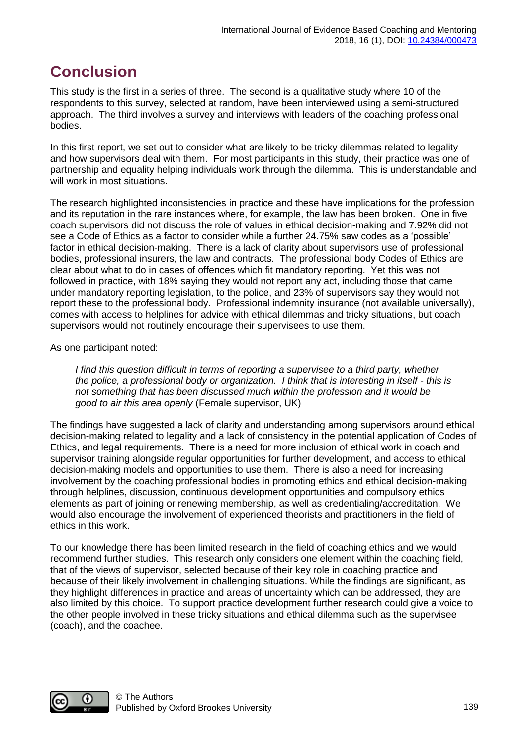# **Conclusion**

This study is the first in a series of three. The second is a qualitative study where 10 of the respondents to this survey, selected at random, have been interviewed using a semi-structured approach. The third involves a survey and interviews with leaders of the coaching professional bodies.

In this first report, we set out to consider what are likely to be tricky dilemmas related to legality and how supervisors deal with them. For most participants in this study, their practice was one of partnership and equality helping individuals work through the dilemma. This is understandable and will work in most situations.

The research highlighted inconsistencies in practice and these have implications for the profession and its reputation in the rare instances where, for example, the law has been broken. One in five coach supervisors did not discuss the role of values in ethical decision-making and 7.92% did not see a Code of Ethics as a factor to consider while a further 24.75% saw codes as a 'possible' factor in ethical decision-making. There is a lack of clarity about supervisors use of professional bodies, professional insurers, the law and contracts. The professional body Codes of Ethics are clear about what to do in cases of offences which fit mandatory reporting. Yet this was not followed in practice, with 18% saying they would not report any act, including those that came under mandatory reporting legislation, to the police, and 23% of supervisors say they would not report these to the professional body. Professional indemnity insurance (not available universally), comes with access to helplines for advice with ethical dilemmas and tricky situations, but coach supervisors would not routinely encourage their supervisees to use them.

As one participant noted:

*I find this question difficult in terms of reporting a supervisee to a third party, whether the police, a professional body or organization. I think that is interesting in itself - this is not something that has been discussed much within the profession and it would be good to air this area openly* (Female supervisor, UK)

The findings have suggested a lack of clarity and understanding among supervisors around ethical decision-making related to legality and a lack of consistency in the potential application of Codes of Ethics, and legal requirements. There is a need for more inclusion of ethical work in coach and supervisor training alongside regular opportunities for further development, and access to ethical decision-making models and opportunities to use them. There is also a need for increasing involvement by the coaching professional bodies in promoting ethics and ethical decision-making through helplines, discussion, continuous development opportunities and compulsory ethics elements as part of joining or renewing membership, as well as credentialing/accreditation. We would also encourage the involvement of experienced theorists and practitioners in the field of ethics in this work.

To our knowledge there has been limited research in the field of coaching ethics and we would recommend further studies. This research only considers one element within the coaching field, that of the views of supervisor, selected because of their key role in coaching practice and because of their likely involvement in challenging situations. While the findings are significant, as they highlight differences in practice and areas of uncertainty which can be addressed, they are also limited by this choice. To support practice development further research could give a voice to the other people involved in these tricky situations and ethical dilemma such as the supervisee (coach), and the coachee.

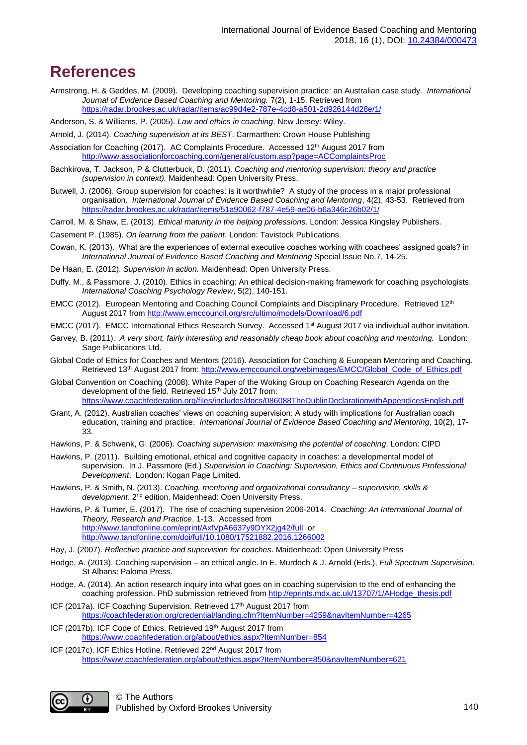### **References**

- Armstrong, H. & Geddes, M. (2009). Developing coaching supervision practice: an Australian case study. *International Journal of Evidence Based Coaching and Mentoring.* 7(2), 1-15. Retrieved from <https://radar.brookes.ac.uk/radar/items/ac99d4e2-787e-4cd8-a501-2d926144d28e/1/>
- Anderson, S. & Williams, P. (2005). *Law and ethics in coaching*. New Jersey: Wiley.
- Arnold, J. (2014). *Coaching supervision at its BEST*. Carmarthen: Crown House Publishing
- Association for Coaching (2017). AC Complaints Procedure. Accessed 12th August 2017 from <http://www.associationforcoaching.com/general/custom.asp?page=ACComplaintsProc>
- Bachkirova, T. Jackson, P & Clutterbuck, D. (2011). *Coaching and mentoring supervision: theory and practice (supervision in context).* Maidenhead: Open University Press.
- Butwell, J. (2006). Group supervision for coaches: is it worthwhile? A study of the process in a major professional organisation. *International Journal of Evidence Based Coaching and Mentoring*, 4(2), 43-53. Retrieved from <https://radar.brookes.ac.uk/radar/items/51a90062-f787-4e59-ae06-b6a346c26b02/1/>
- Carroll, M. & Shaw, E. (2013). *Ethical maturity in the helping professions*. London: Jessica Kingsley Publishers.
- Casement P. (1985). *On learning from the patient*. London: Tavistock Publications.
- Cowan, K. (2013). What are the experiences of external executive coaches working with coachees' assigned goals? in *International Journal of Evidence Based Coaching and Mentoring* Special Issue No.7, 14-25.
- De Haan, E. (2012). *Supervision in action.* Maidenhead: Open University Press.
- Duffy, M., & Passmore, J. (2010). Ethics in coaching: An ethical decision-making framework for coaching psychologists. *International Coaching Psychology Review*, 5(2), 140-151.
- EMCC (2012). European Mentoring and Coaching Council Complaints and Disciplinary Procedure. Retrieved 12<sup>th</sup> August 2017 from<http://www.emccouncil.org/src/ultimo/models/Download/6.pdf>
- EMCC (2017). EMCC International Ethics Research Survey. Accessed 1<sup>st</sup> August 2017 via individual author invitation.
- Garvey, B. (2011). *A very short, fairly interesting and reasonably cheap book about coaching and mentoring.* London: Sage Publications Ltd.
- Global Code of Ethics for Coaches and Mentors (2016). Association for Coaching & European Mentoring and Coaching. Retrieved 13<sup>th</sup> August 2017 from: [http://www.emccouncil.org/webimages/EMCC/Global\\_Code\\_of\\_Ethics.pdf](http://www.emccouncil.org/webimages/EMCC/Global_Code_of_Ethics.pdf)
- Global Convention on Coaching (2008). White Paper of the Woking Group on Coaching Research Agenda on the development of the field. Retrieved 15<sup>th</sup> July 2017 from: <https://www.coachfederation.org/files/includes/docs/086088TheDublinDeclarationwithAppendicesEnglish.pdf>
- Grant, A. (2012). Australian coaches' views on coaching supervision: A study with implications for Australian coach education, training and practice. *International Journal of Evidence Based Coaching and Mentoring*, 10(2), 17- 33.
- Hawkins, P. & Schwenk, G. (2006). *Coaching supervision: maximising the potential of coaching*. London: CIPD
- Hawkins, P. (2011). Building emotional, ethical and cognitive capacity in coaches: a developmental model of supervision. In J. Passmore (Ed.) *Supervision in Coaching: Supervision, Ethics and Continuous Professional Development*. London: Kogan Page Limited.
- Hawkins, P. & Smith, N. (2013). *Coaching, mentoring and organizational consultancy – supervision, skills & development*. 2nd edition. Maidenhead: Open University Press.
- Hawkins, P. & Turner, E. (2017). The rise of coaching supervision 2006-2014. *Coaching: An International Journal of Theory, Research and Practice*, 1-13. Accessed from <http://www.tandfonline.com/eprint/AxfVpA6637y9DYX2jg42/full> or <http://www.tandfonline.com/doi/full/10.1080/17521882.2016.1266002>
- Hay, J. (2007). *Reflective practice and supervision for coaches*. Maidenhead: Open University Press
- Hodge, A. (2013). Coaching supervision an ethical angle. In E. Murdoch & J. Arnold (Eds.), *Full Spectrum Supervision*. St Albans: Paloma Press.
- Hodge, A. (2014). An action research inquiry into what goes on in coaching supervision to the end of enhancing the coaching profession. PhD submission retrieved from [http://eprints.mdx.ac.uk/13707/1/AHodge\\_thesis.pdf](http://eprints.mdx.ac.uk/13707/1/AHodge_thesis.pdf)
- ICF (2017a). ICF Coaching Supervision. Retrieved 17<sup>th</sup> August 2017 from <https://coachfederation.org/credential/landing.cfm?ItemNumber=4259&navItemNumber=4265>
- ICF (2017b). ICF Code of Ethics. Retrieved 19<sup>th</sup> August 2017 from <https://www.coachfederation.org/about/ethics.aspx?ItemNumber=854>
- ICF (2017c). ICF Ethics Hotline. Retrieved 22<sup>nd</sup> August 2017 from <https://www.coachfederation.org/about/ethics.aspx?ItemNumber=850&navItemNumber=621>

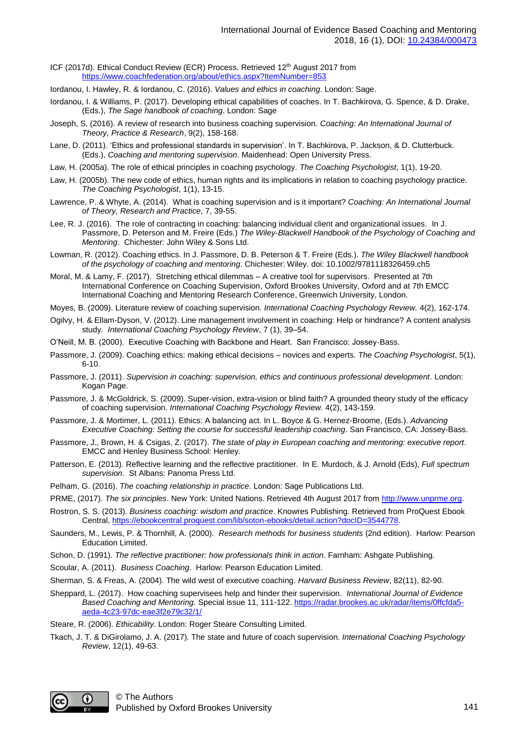ICF (2017d). Ethical Conduct Review (ECR) Process. Retrieved 12th August 2017 from <https://www.coachfederation.org/about/ethics.aspx?ItemNumber=853>

- Iordanou, I. Hawley, R. & Iordanou, C. (2016). *Values and ethics in coaching*. London: Sage.
- Iordanou, I. & Williams, P. (2017). Developing ethical capabilities of coaches. In T. Bachkirova, G. Spence, & D. Drake, (Eds.), *The Sage handbook of coaching*. London: Sage
- Joseph, S. (2016). A review of research into business coaching supervision. *Coaching: An International Journal of Theory, Practice & Research*, 9(2), 158-168.
- Lane, D. (2011). 'Ethics and professional standards in supervision'. In T. Bachkirova, P. Jackson, & D. Clutterbuck. (Eds.), *Coaching and mentoring supervision*. Maidenhead: Open University Press.
- Law, H. (2005a). The role of ethical principles in coaching psychology. *The Coaching Psychologist*, 1(1), 19-20.
- Law, H. (2005b). The new code of ethics, human rights and its implications in relation to coaching psychology practice. *The Coaching Psychologist*, 1(1), 13-15.
- Lawrence, P. & Whyte, A. (2014). What is coaching supervision and is it important? *Coaching: An International Journal of Theory, Research and Practice,* 7, 39-55.
- Lee, R. J. (2016). The role of contracting in coaching: balancing individual client and organizational issues. In J. Passmore, D. Peterson and M. Freire (Eds.) *The Wiley-Blackwell Handbook of the Psychology of Coaching and Mentoring*. Chichester: John Wiley & Sons Ltd.
- Lowman, R. (2012). Coaching ethics. In J. Passmore, D. B. Peterson & T. Freire (Eds.). *The Wiley Blackwell handbook of the psychology of coaching and mentoring*. Chichester: Wiley. doi: 10.1002/9781118326459.ch5
- Moral, M. & Lamy, F. (2017). Stretching ethical dilemmas A creative tool for supervisors. Presented at 7th International Conference on Coaching Supervision, Oxford Brookes University, Oxford and at 7th EMCC International Coaching and Mentoring Research Conference, Greenwich University, London.
- Moyes, B. (2009). Literature review of coaching supervision*. International Coaching Psychology Review.* 4(2), 162-174.
- Ogilvy, H. & Ellam-Dyson, V. (2012). Line management involvement in coaching: Help or hindrance? A content analysis study*. International Coaching Psychology Review*, 7 (1), 39–54.
- O'Neill, M. B. (2000). Executive Coaching with Backbone and Heart. San Francisco: Jossey-Bass.
- Passmore, J. (2009). Coaching ethics: making ethical decisions novices and experts. *The Coaching Psychologist*, 5(1), 6-10.
- Passmore, J. (2011). *Supervision in coaching: supervision, ethics and continuous professional development*. London: Kogan Page.
- Passmore, J. & McGoldrick, S. (2009). Super-vision, extra-vision or blind faith? A grounded theory study of the efficacy of coaching supervision. *International Coaching Psychology Review.* 4(2), 143-159.
- Passmore, J. & Mortimer, L. (2011). Ethics: A balancing act. In L. Boyce & G. Hernez-Broome, (Eds.). *Advancing Executive Coaching: Setting the course for successful leadership coaching*. San Francisco, CA: Jossey-Bass.
- Passmore, J., Brown, H. & Csigas, Z. (2017). *The state of play in European coaching and mentoring: executive report*. EMCC and Henley Business School: Henley.
- Patterson, E. (2013). Reflective learning and the reflective practitioner. In E. Murdoch, & J. Arnold (Eds), *Full spectrum supervision*. St Albans: Panoma Press Ltd.
- Pelham, G. (2016). *The coaching relationship in practice*. London: Sage Publications Ltd.
- PRME, (2017). *The six principles*. New York: United Nations. Retrieved 4th August 2017 from [http://www.unprme.org.](http://www.unprme.org/)
- Rostron, S. S. (2013). *Business coaching: wisdom and practice*. Knowres Publishing. Retrieved from ProQuest Ebook Central[, https://ebookcentral.proquest.com/lib/soton-ebooks/detail.action?docID=3544778.](https://ebookcentral.proquest.com/lib/soton-ebooks/detail.action?docID=3544778)
- Saunders, M., Lewis, P. & Thornhill, A. (2000). *Research methods for business students* (2nd edition). Harlow: Pearson Education Limited.
- Schon, D. (1991). *The reflective practitioner: how professionals think in action*. Farnham: Ashgate Publishing.
- Scoular, A. (2011). *Business Coaching*. Harlow: Pearson Education Limited.
- Sherman, S. & Freas, A. (2004). The wild west of executive coaching. *Harvard Business Review*, 82(11), 82-90.
- Sheppard, L. (2017). How coaching supervisees help and hinder their supervision. *International Journal of Evidence Based Coaching and Mentoring.* Special issue 11, 111-122. [https://radar.brookes.ac.uk/radar/items/0ffcfda5](https://radar.brookes.ac.uk/radar/items/0ffcfda5-aeda-4c23-97dc-eae3f2e79c32/1/) [aeda-4c23-97dc-eae3f2e79c32/1/](https://radar.brookes.ac.uk/radar/items/0ffcfda5-aeda-4c23-97dc-eae3f2e79c32/1/)
- Steare, R. (2006). *Ethicability*. London: Roger Steare Consulting Limited.
- Tkach, J. T. & DiGirolamo, J. A. (2017). The state and future of coach supervision. *International Coaching Psychology Review*, 12(1), 49-63.